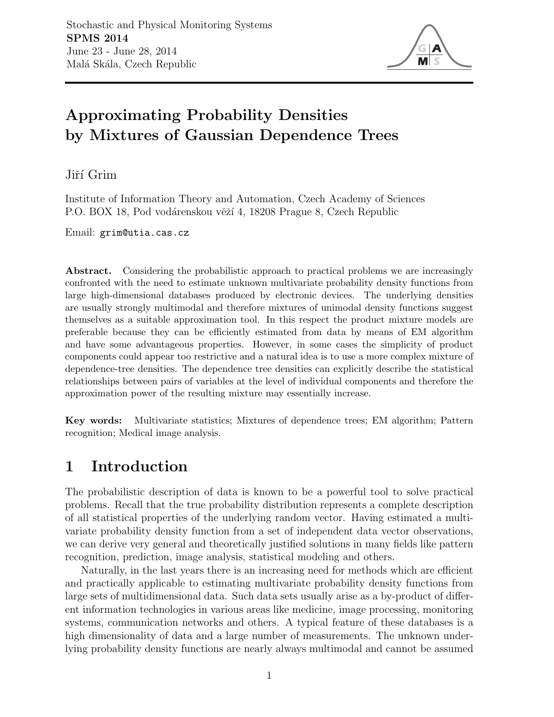

# Approximating Probability Densities by Mixtures of Gaussian Dependence Trees

Jiří Grim

Institute of Information Theory and Automation, Czech Academy of Sciences P.O. BOX 18, Pod vodárenskou věží 4, 18208 Prague 8, Czech Republic

Email: grim@utia.cas.cz

Abstract. Considering the probabilistic approach to practical problems we are increasingly confronted with the need to estimate unknown multivariate probability density functions from large high-dimensional databases produced by electronic devices. The underlying densities are usually strongly multimodal and therefore mixtures of unimodal density functions suggest themselves as a suitable approximation tool. In this respect the product mixture models are preferable because they can be efficiently estimated from data by means of EM algorithm and have some advantageous properties. However, in some cases the simplicity of product components could appear too restrictive and a natural idea is to use a more complex mixture of dependence-tree densities. The dependence tree densities can explicitly describe the statistical relationships between pairs of variables at the level of individual components and therefore the approximation power of the resulting mixture may essentially increase.

Key words: Multivariate statistics; Mixtures of dependence trees; EM algorithm; Pattern recognition; Medical image analysis.

## 1 Introduction

The probabilistic description of data is known to be a powerful tool to solve practical problems. Recall that the true probability distribution represents a complete description of all statistical properties of the underlying random vector. Having estimated a multivariate probability density function from a set of independent data vector observations, we can derive very general and theoretically justified solutions in many fields like pattern recognition, prediction, image analysis, statistical modeling and others.

Naturally, in the last years there is an increasing need for methods which are efficient and practically applicable to estimating multivariate probability density functions from large sets of multidimensional data. Such data sets usually arise as a by-product of different information technologies in various areas like medicine, image processing, monitoring systems, communication networks and others. A typical feature of these databases is a high dimensionality of data and a large number of measurements. The unknown underlying probability density functions are nearly always multimodal and cannot be assumed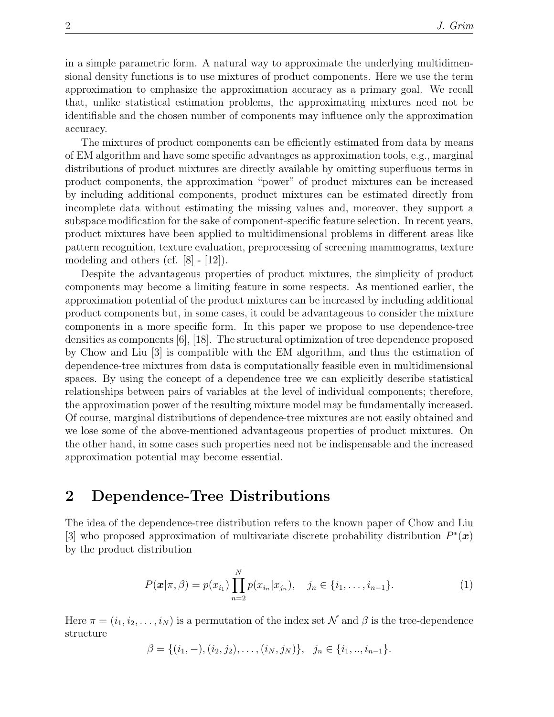in a simple parametric form. A natural way to approximate the underlying multidimensional density functions is to use mixtures of product components. Here we use the term approximation to emphasize the approximation accuracy as a primary goal. We recall that, unlike statistical estimation problems, the approximating mixtures need not be identifiable and the chosen number of components may influence only the approximation accuracy.

The mixtures of product components can be efficiently estimated from data by means of EM algorithm and have some specific advantages as approximation tools, e.g., marginal distributions of product mixtures are directly available by omitting superfluous terms in product components, the approximation "power" of product mixtures can be increased by including additional components, product mixtures can be estimated directly from incomplete data without estimating the missing values and, moreover, they support a subspace modification for the sake of component-specific feature selection. In recent years, product mixtures have been applied to multidimensional problems in different areas like pattern recognition, texture evaluation, preprocessing of screening mammograms, texture modeling and others (cf. [8] - [12]).

Despite the advantageous properties of product mixtures, the simplicity of product components may become a limiting feature in some respects. As mentioned earlier, the approximation potential of the product mixtures can be increased by including additional product components but, in some cases, it could be advantageous to consider the mixture components in a more specific form. In this paper we propose to use dependence-tree densities as components [6], [18]. The structural optimization of tree dependence proposed by Chow and Liu [3] is compatible with the EM algorithm, and thus the estimation of dependence-tree mixtures from data is computationally feasible even in multidimensional spaces. By using the concept of a dependence tree we can explicitly describe statistical relationships between pairs of variables at the level of individual components; therefore, the approximation power of the resulting mixture model may be fundamentally increased. Of course, marginal distributions of dependence-tree mixtures are not easily obtained and we lose some of the above-mentioned advantageous properties of product mixtures. On the other hand, in some cases such properties need not be indispensable and the increased approximation potential may become essential.

### 2 Dependence-Tree Distributions

The idea of the dependence-tree distribution refers to the known paper of Chow and Liu [3] who proposed approximation of multivariate discrete probability distribution  $P^*(x)$ by the product distribution

$$
P(\boldsymbol{x}|\pi,\beta) = p(x_{i_1}) \prod_{n=2}^{N} p(x_{i_n}|x_{j_n}), \quad j_n \in \{i_1, \ldots, i_{n-1}\}.
$$
 (1)

Here  $\pi = (i_1, i_2, \ldots, i_N)$  is a permutation of the index set  $\mathcal N$  and  $\beta$  is the tree-dependence structure

$$
\beta = \{(i_1, -), (i_2, j_2), \dots, (i_N, j_N)\}, \ \ j_n \in \{i_1, \dots, i_{n-1}\}.
$$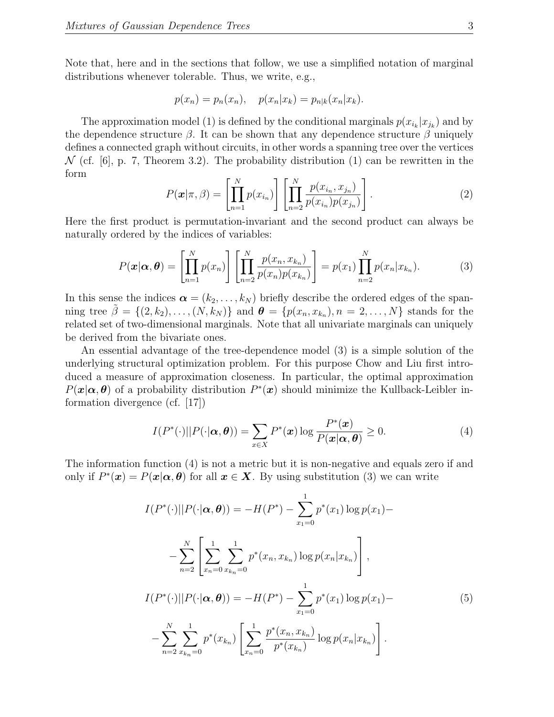Note that, here and in the sections that follow, we use a simplified notation of marginal distributions whenever tolerable. Thus, we write, e.g.,

$$
p(x_n) = p_n(x_n), \quad p(x_n|x_k) = p_{n|k}(x_n|x_k).
$$

The approximation model (1) is defined by the conditional marginals  $p(x_{i_k}|x_{j_k})$  and by the dependence structure  $\beta$ . It can be shown that any dependence structure  $\beta$  uniquely defines a connected graph without circuits, in other words a spanning tree over the vertices  $\mathcal N$  (cf. [6], p. 7, Theorem 3.2). The probability distribution (1) can be rewritten in the form

$$
P(\mathbf{x}|\pi,\beta) = \left[\prod_{n=1}^{N} p(x_{i_n})\right] \left[\prod_{n=2}^{N} \frac{p(x_{i_n}, x_{j_n})}{p(x_{i_n})p(x_{j_n})}\right].
$$
 (2)

Here the first product is permutation-invariant and the second product can always be naturally ordered by the indices of variables:

$$
P(\boldsymbol{x}|\boldsymbol{\alpha},\boldsymbol{\theta}) = \left[\prod_{n=1}^{N} p(x_n)\right] \left[\prod_{n=2}^{N} \frac{p(x_n, x_{k_n})}{p(x_n)p(x_{k_n})}\right] = p(x_1) \prod_{n=2}^{N} p(x_n|x_{k_n}).
$$
 (3)

In this sense the indices  $\boldsymbol{\alpha} = (k_2, \ldots, k_N)$  briefly describe the ordered edges of the spanning tree  $\tilde{\beta} = \{(2, k_2), \ldots, (N, k_N)\}\$  and  $\boldsymbol{\theta} = \{p(x_n, x_{k_n}), n = 2, \ldots, N\}\$  stands for the related set of two-dimensional marginals. Note that all univariate marginals can uniquely be derived from the bivariate ones.

An essential advantage of the tree-dependence model (3) is a simple solution of the underlying structural optimization problem. For this purpose Chow and Liu first introduced a measure of approximation closeness. In particular, the optimal approximation  $P(\mathbf{x}|\alpha,\theta)$  of a probability distribution  $P^*(\mathbf{x})$  should minimize the Kullback-Leibler information divergence (cf. [17])

$$
I(P^*(\cdot)||P(\cdot|\boldsymbol{\alpha},\boldsymbol{\theta})) = \sum_{x \in X} P^*(x) \log \frac{P^*(x)}{P(x|\boldsymbol{\alpha},\boldsymbol{\theta})} \ge 0.
$$
 (4)

The information function (4) is not a metric but it is non-negative and equals zero if and only if  $P^*(x) = P(x|\alpha, \theta)$  for all  $x \in X$ . By using substitution (3) we can write

$$
I(P^*(\cdot)||P(\cdot|\alpha,\theta)) = -H(P^*) - \sum_{x_1=0}^1 p^*(x_1) \log p(x_1) - \sum_{n=2}^N \left[ \sum_{x_n=0}^1 \sum_{x_{k_n}=0}^1 p^*(x_n, x_{k_n}) \log p(x_n | x_{k_n}) \right],
$$
  

$$
I(P^*(\cdot)||P(\cdot|\alpha,\theta)) = -H(P^*) - \sum_{x_1=0}^1 p^*(x_1) \log p(x_1) - \sum_{n=2}^N \sum_{x_{k_n}=0}^1 p^*(x_{k_n}) \left[ \sum_{x_n=0}^1 \frac{p^*(x_n, x_{k_n})}{p^*(x_{k_n})} \log p(x_n | x_{k_n}) \right].
$$
  
(5)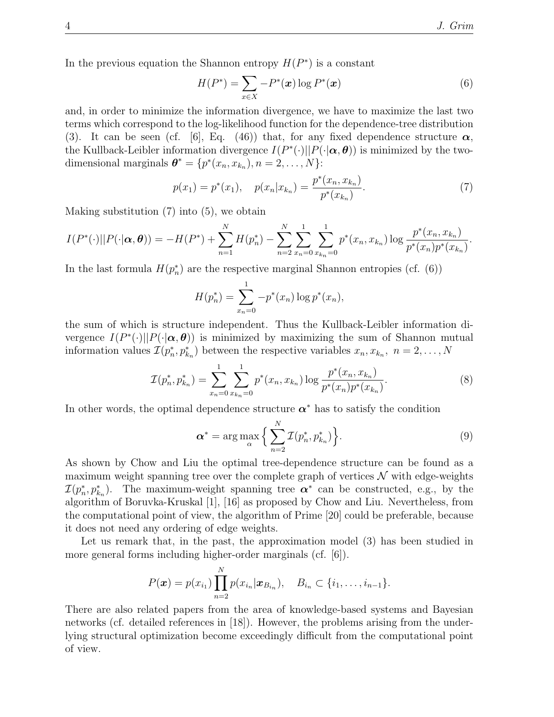In the previous equation the Shannon entropy  $H(P^*)$  is a constant

$$
H(P^*) = \sum_{x \in X} -P^*(x) \log P^*(x) \tag{6}
$$

and, in order to minimize the information divergence, we have to maximize the last two terms which correspond to the log-likelihood function for the dependence-tree distribution (3). It can be seen (cf. [6], Eq. (46)) that, for any fixed dependence structure  $\alpha$ , the Kullback-Leibler information divergence  $I(P^*(\cdot)||P(\cdot|\alpha, \theta))$  is minimized by the twodimensional marginals  $\boldsymbol{\theta}^* = \{p^*(x_n, x_{k_n}), n = 2, \ldots, N\}$ :

$$
p(x_1) = p^*(x_1), \quad p(x_n | x_{k_n}) = \frac{p^*(x_n, x_{k_n})}{p^*(x_{k_n})}.
$$
\n<sup>(7)</sup>

Making substitution (7) into (5), we obtain

$$
I(P^*(\cdot)||P(\cdot|\alpha,\boldsymbol{\theta})) = -H(P^*) + \sum_{n=1}^N H(p_n^*) - \sum_{n=2}^N \sum_{x_n=0}^1 \sum_{x_{k_n}=0}^1 p^*(x_n, x_{k_n}) \log \frac{p^*(x_n, x_{k_n})}{p^*(x_n)p^*(x_{k_n})}.
$$

In the last formula  $H(p_n^*)$  are the respective marginal Shannon entropies (cf. (6))

$$
H(p_n^*) = \sum_{x_n=0}^{1} -p^*(x_n) \log p^*(x_n),
$$

the sum of which is structure independent. Thus the Kullback-Leibler information divergence  $I(P^*(\cdot)||P(\cdot|\alpha, \theta))$  is minimized by maximizing the sum of Shannon mutual information values  $\mathcal{I}(p_n^*, p_{k_n}^*)$  between the respective variables  $x_n, x_{k_n}, n = 2, ..., N$ 

$$
\mathcal{I}(p_n^*, p_{k_n}^*) = \sum_{x_n=0}^1 \sum_{x_{k_n}=0}^1 p^*(x_n, x_{k_n}) \log \frac{p^*(x_n, x_{k_n})}{p^*(x_n)p^*(x_{k_n})}.
$$
\n
$$
(8)
$$

In other words, the optimal dependence structure  $\alpha^*$  has to satisfy the condition

$$
\boldsymbol{\alpha}^* = \arg \max_{\alpha} \Big\{ \sum_{n=2}^N \mathcal{I}(p_n^*, p_{k_n}^*) \Big\}.
$$
 (9)

As shown by Chow and Liu the optimal tree-dependence structure can be found as a maximum weight spanning tree over the complete graph of vertices  $\mathcal N$  with edge-weights  $\mathcal{I}(p_n^*, p_{k_n}^*)$ . The maximum-weight spanning tree  $\alpha^*$  can be constructed, e.g., by the algorithm of Boruvka-Kruskal [1], [16] as proposed by Chow and Liu. Nevertheless, from the computational point of view, the algorithm of Prime [20] could be preferable, because it does not need any ordering of edge weights.

Let us remark that, in the past, the approximation model (3) has been studied in more general forms including higher-order marginals (cf. [6]).

$$
P(\boldsymbol{x}) = p(x_{i_1}) \prod_{n=2}^{N} p(x_{i_n} | \boldsymbol{x}_{B_{i_n}}), \quad B_{i_n} \subset \{i_1, \ldots, i_{n-1}\}.
$$

There are also related papers from the area of knowledge-based systems and Bayesian networks (cf. detailed references in [18]). However, the problems arising from the underlying structural optimization become exceedingly difficult from the computational point of view.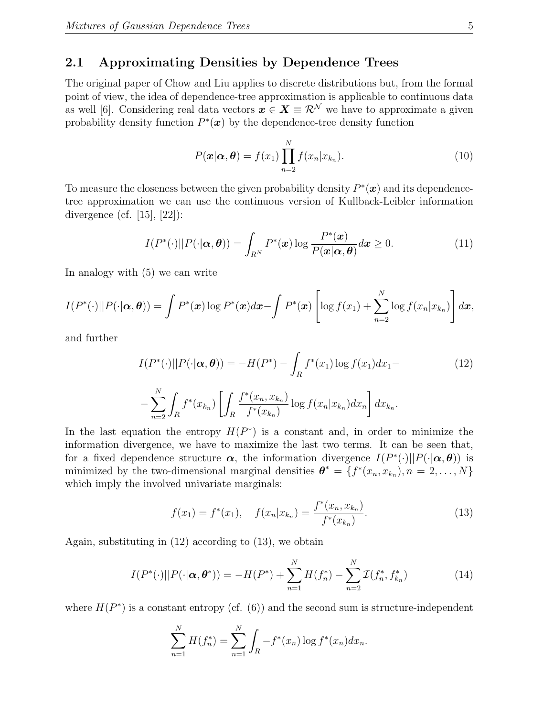#### 2.1 Approximating Densities by Dependence Trees

The original paper of Chow and Liu applies to discrete distributions but, from the formal point of view, the idea of dependence-tree approximation is applicable to continuous data as well [6]. Considering real data vectors  $x \in X \equiv \mathcal{R}^N$  we have to approximate a given probability density function  $P^*(x)$  by the dependence-tree density function

$$
P(\boldsymbol{x}|\boldsymbol{\alpha},\boldsymbol{\theta}) = f(x_1) \prod_{n=2}^{N} f(x_n | x_{k_n}).
$$
\n(10)

To measure the closeness between the given probability density  $P^*(x)$  and its dependencetree approximation we can use the continuous version of Kullback-Leibler information divergence (cf.  $[15]$ ,  $[22]$ ):

$$
I(P^*(\cdot)||P(\cdot|\boldsymbol{\alpha},\boldsymbol{\theta})) = \int_{R^N} P^*(\boldsymbol{x}) \log \frac{P^*(\boldsymbol{x})}{P(\boldsymbol{x}|\boldsymbol{\alpha},\boldsymbol{\theta})} d\boldsymbol{x} \ge 0.
$$
 (11)

In analogy with (5) we can write

$$
I(P^*(\cdot)||P(\cdot|\boldsymbol{\alpha},\boldsymbol{\theta})) = \int P^*(\boldsymbol{x})\log P^*(\boldsymbol{x})d\boldsymbol{x} - \int P^*(\boldsymbol{x})\left[\log f(x_1) + \sum_{n=2}^N \log f(x_n|x_{k_n})\right]d\boldsymbol{x},
$$

and further

$$
I(P^*(\cdot)||P(\cdot|\alpha,\theta)) = -H(P^*) - \int_R f^*(x_1) \log f(x_1) dx_1 -
$$
  

$$
-\sum_{n=2}^N \int_R f^*(x_{k_n}) \left[ \int_R \frac{f^*(x_n, x_{k_n})}{f^*(x_{k_n})} \log f(x_n | x_{k_n}) dx_n \right] dx_{k_n}.
$$
 (12)

In the last equation the entropy  $H(P^*)$  is a constant and, in order to minimize the information divergence, we have to maximize the last two terms. It can be seen that, for a fixed dependence structure  $\alpha$ , the information divergence  $I(P^*(\cdot)||P(\cdot|\alpha, \theta))$  is minimized by the two-dimensional marginal densities  $\boldsymbol{\theta}^* = \{f^*(x_n, x_{k_n}), n = 2, ..., N\}$ which imply the involved univariate marginals:

$$
f(x_1) = f^*(x_1), \quad f(x_n | x_{k_n}) = \frac{f^*(x_n, x_{k_n})}{f^*(x_{k_n})}.
$$
 (13)

Again, substituting in (12) according to (13), we obtain

$$
I(P^*(\cdot)||P(\cdot|\alpha,\theta^*)) = -H(P^*) + \sum_{n=1}^N H(f_n^*) - \sum_{n=2}^N \mathcal{I}(f_n^*, f_{k_n}^*)
$$
(14)

where  $H(P^*)$  is a constant entropy (cf.  $(6)$ ) and the second sum is structure-independent

$$
\sum_{n=1}^{N} H(f_n^*) = \sum_{n=1}^{N} \int_{R} -f^*(x_n) \log f^*(x_n) dx_n.
$$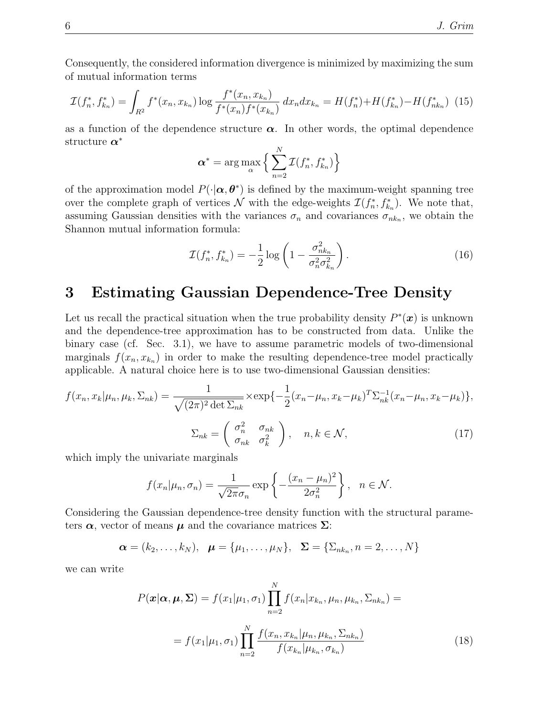Consequently, the considered information divergence is minimized by maximizing the sum of mutual information terms

$$
\mathcal{I}(f_n^*, f_{k_n}^*) = \int_{R^2} f^*(x_n, x_{k_n}) \log \frac{f^*(x_n, x_{k_n})}{f^*(x_n)f^*(x_{k_n})} dx_n dx_{k_n} = H(f_n^*) + H(f_{k_n}^*) - H(f_{nk_n}^*) \tag{15}
$$

as a function of the dependence structure  $\alpha$ . In other words, the optimal dependence structure  $\boldsymbol{\alpha}^*$ 

$$
\boldsymbol{\alpha}^* = \arg \max_{\alpha} \left\{ \sum_{n=2}^N \mathcal{I}(f_n^*, f_{k_n}^*) \right\}
$$

of the approximation model  $P(\cdot|\alpha, \theta^*)$  is defined by the maximum-weight spanning tree over the complete graph of vertices  $\mathcal N$  with the edge-weights  $\mathcal I(f_n^*, f_{k_n}^*)$ . We note that, assuming Gaussian densities with the variances  $\sigma_n$  and covariances  $\sigma_{nk_n}$ , we obtain the Shannon mutual information formula:

$$
\mathcal{I}(f_n^*, f_{k_n}^*) = -\frac{1}{2} \log \left( 1 - \frac{\sigma_{nk_n}^2}{\sigma_n^2 \sigma_{k_n}^2} \right). \tag{16}
$$

#### 3 Estimating Gaussian Dependence-Tree Density

Let us recall the practical situation when the true probability density  $P^*(x)$  is unknown and the dependence-tree approximation has to be constructed from data. Unlike the binary case (cf. Sec. 3.1), we have to assume parametric models of two-dimensional marginals  $f(x_n, x_{k_n})$  in order to make the resulting dependence-tree model practically applicable. A natural choice here is to use two-dimensional Gaussian densities:

$$
f(x_n, x_k | \mu_n, \mu_k, \Sigma_{nk}) = \frac{1}{\sqrt{(2\pi)^2 \det \Sigma_{nk}}} \times \exp\{-\frac{1}{2} (x_n - \mu_n, x_k - \mu_k)^T \Sigma_{nk}^{-1} (x_n - \mu_n, x_k - \mu_k) \},
$$

$$
\Sigma_{nk} = \begin{pmatrix} \sigma_n^2 & \sigma_{nk} \\ \sigma_{nk} & \sigma_k^2 \end{pmatrix}, \quad n, k \in \mathcal{N},
$$
(17)

which imply the univariate marginals

$$
f(x_n|\mu_n, \sigma_n) = \frac{1}{\sqrt{2\pi}\sigma_n} \exp\left\{-\frac{(x_n - \mu_n)^2}{2\sigma_n^2}\right\}, \quad n \in \mathcal{N}.
$$

Considering the Gaussian dependence-tree density function with the structural parameters  $\alpha$ , vector of means  $\mu$  and the covariance matrices  $\Sigma$ :

$$
\boldsymbol{\alpha} = (k_2, \ldots, k_N), \boldsymbol{\mu} = {\mu_1, \ldots, \mu_N}, \boldsymbol{\Sigma} = {\Sigma_{nk_n}, n = 2, \ldots, N}
$$

we can write

$$
P(\mathbf{x}|\alpha, \mu, \Sigma) = f(x_1|\mu_1, \sigma_1) \prod_{n=2}^{N} f(x_n|x_{k_n}, \mu_n, \mu_{k_n}, \Sigma_{nk_n}) =
$$

$$
= f(x_1|\mu_1, \sigma_1) \prod_{n=2}^{N} \frac{f(x_n, x_{k_n}|\mu_n, \mu_{k_n}, \Sigma_{nk_n})}{f(x_{k_n}|\mu_{k_n}, \sigma_{k_n})}
$$
(18)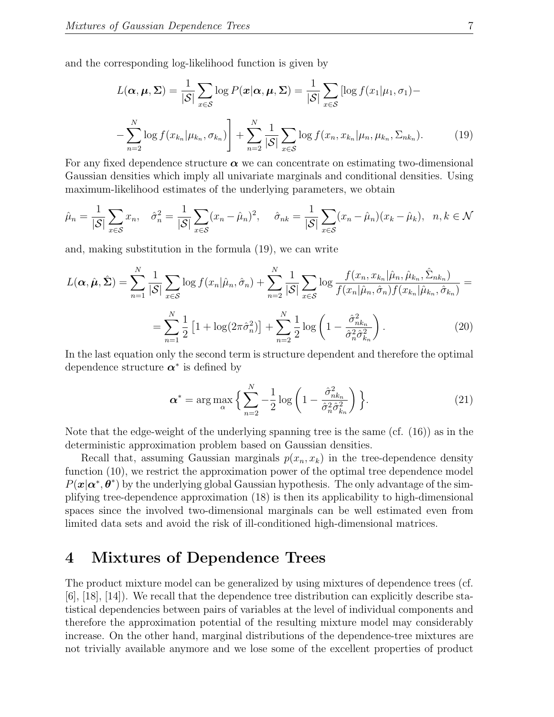and the corresponding log-likelihood function is given by

$$
L(\boldsymbol{\alpha}, \boldsymbol{\mu}, \boldsymbol{\Sigma}) = \frac{1}{|\mathcal{S}|} \sum_{x \in \mathcal{S}} \log P(\boldsymbol{x} | \boldsymbol{\alpha}, \boldsymbol{\mu}, \boldsymbol{\Sigma}) = \frac{1}{|\mathcal{S}|} \sum_{x \in \mathcal{S}} [\log f(x_1 | \mu_1, \sigma_1) - \sum_{n=2}^{N} \log f(x_{k_n} | \mu_{k_n}, \sigma_{k_n})] + \sum_{n=2}^{N} \frac{1}{|\mathcal{S}|} \sum_{x \in \mathcal{S}} \log f(x_n, x_{k_n} | \mu_n, \mu_{k_n}, \Sigma_{nk_n}).
$$
(19)

For any fixed dependence structure  $\alpha$  we can concentrate on estimating two-dimensional Gaussian densities which imply all univariate marginals and conditional densities. Using maximum-likelihood estimates of the underlying parameters, we obtain

$$
\hat{\mu}_n = \frac{1}{|\mathcal{S}|} \sum_{x \in \mathcal{S}} x_n, \quad \hat{\sigma}_n^2 = \frac{1}{|\mathcal{S}|} \sum_{x \in \mathcal{S}} (x_n - \hat{\mu}_n)^2, \quad \hat{\sigma}_{nk} = \frac{1}{|\mathcal{S}|} \sum_{x \in \mathcal{S}} (x_n - \hat{\mu}_n)(x_k - \hat{\mu}_k), \quad n, k \in \mathcal{N}
$$

and, making substitution in the formula (19), we can write

$$
L(\alpha, \hat{\mu}, \hat{\Sigma}) = \sum_{n=1}^{N} \frac{1}{|\mathcal{S}|} \sum_{x \in \mathcal{S}} \log f(x_n | \hat{\mu}_n, \hat{\sigma}_n) + \sum_{n=2}^{N} \frac{1}{|\mathcal{S}|} \sum_{x \in \mathcal{S}} \log \frac{f(x_n, x_{k_n} | \hat{\mu}_n, \hat{\mu}_{k_n}, \hat{\Sigma}_{nk_n})}{f(x_n | \hat{\mu}_n, \hat{\sigma}_n) f(x_{k_n} | \hat{\mu}_{k_n}, \hat{\sigma}_{k_n})} =
$$

$$
= \sum_{n=1}^{N} \frac{1}{2} \left[ 1 + \log(2\pi \hat{\sigma}_n^2) \right] + \sum_{n=2}^{N} \frac{1}{2} \log \left( 1 - \frac{\hat{\sigma}_{nk_n}^2}{\hat{\sigma}_n^2 \hat{\sigma}_{k_n}^2} \right).
$$
(20)

In the last equation only the second term is structure dependent and therefore the optimal dependence structure  $\alpha^*$  is defined by

$$
\boldsymbol{\alpha}^* = \arg \max_{\alpha} \left\{ \sum_{n=2}^N -\frac{1}{2} \log \left( 1 - \frac{\hat{\sigma}_{nk_n}^2}{\hat{\sigma}_n^2 \hat{\sigma}_{k_n}^2} \right) \right\}.
$$
 (21)

Note that the edge-weight of the underlying spanning tree is the same (cf. (16)) as in the deterministic approximation problem based on Gaussian densities.

Recall that, assuming Gaussian marginals  $p(x_n, x_k)$  in the tree-dependence density function  $(10)$ , we restrict the approximation power of the optimal tree dependence model  $P(\mathbf{x}|\alpha^*, \theta^*)$  by the underlying global Gaussian hypothesis. The only advantage of the simplifying tree-dependence approximation (18) is then its applicability to high-dimensional spaces since the involved two-dimensional marginals can be well estimated even from limited data sets and avoid the risk of ill-conditioned high-dimensional matrices.

#### 4 Mixtures of Dependence Trees

The product mixture model can be generalized by using mixtures of dependence trees (cf. [6], [18], [14]). We recall that the dependence tree distribution can explicitly describe statistical dependencies between pairs of variables at the level of individual components and therefore the approximation potential of the resulting mixture model may considerably increase. On the other hand, marginal distributions of the dependence-tree mixtures are not trivially available anymore and we lose some of the excellent properties of product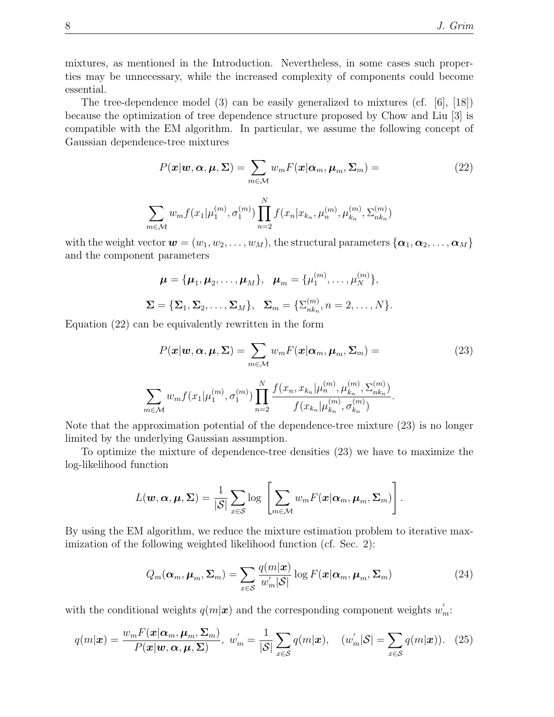mixtures, as mentioned in the Introduction. Nevertheless, in some cases such properties may be unnecessary, while the increased complexity of components could become essential.

The tree-dependence model (3) can be easily generalized to mixtures (cf. [6], [18]) because the optimization of tree dependence structure proposed by Chow and Liu [3] is compatible with the EM algorithm. In particular, we assume the following concept of Gaussian dependence-tree mixtures

$$
P(\boldsymbol{x}|\boldsymbol{w}, \boldsymbol{\alpha}, \boldsymbol{\mu}, \boldsymbol{\Sigma}) = \sum_{m \in \mathcal{M}} w_m F(\boldsymbol{x}|\boldsymbol{\alpha}_m, \boldsymbol{\mu}_m, \boldsymbol{\Sigma}_m) =
$$
(22)  

$$
\sum_{m \in \mathcal{M}} w_m f(x_1 | \mu_1^{(m)}, \sigma_1^{(m)}) \prod_{n=2}^N f(x_n | x_{k_n}, \mu_n^{(m)}, \mu_{k_n}^{(m)}, \Sigma_{nk_n}^{(m)})
$$

with the weight vector  $\mathbf{w} = (w_1, w_2, \dots, w_M)$ , the structural parameters  $\{\boldsymbol{\alpha}_1, \boldsymbol{\alpha}_2, \dots, \boldsymbol{\alpha}_M\}$ and the component parameters

$$
\boldsymbol{\mu} = {\boldsymbol{\mu}_1, \boldsymbol{\mu}_2, \dots, \boldsymbol{\mu}_M}, \quad \boldsymbol{\mu}_m = {\boldsymbol{\mu}_1^{(m)}, \dots, \boldsymbol{\mu}_N^{(m)}},
$$

$$
\boldsymbol{\Sigma} = {\boldsymbol{\Sigma}_1, \boldsymbol{\Sigma}_2, \dots, \boldsymbol{\Sigma}_M}, \quad \boldsymbol{\Sigma}_m = {\boldsymbol{\Sigma}_{nk_n}^{(m)}, n = 2, \dots, N}.
$$

Equation (22) can be equivalently rewritten in the form

 $\eta$ 

$$
P(\boldsymbol{x}|\boldsymbol{w}, \boldsymbol{\alpha}, \boldsymbol{\mu}, \boldsymbol{\Sigma}) = \sum_{m \in \mathcal{M}} w_m F(\boldsymbol{x}|\boldsymbol{\alpha}_m, \boldsymbol{\mu}_m, \boldsymbol{\Sigma}_m) =
$$
(23)  

$$
\sum_{n \in \mathcal{M}} w_m f(x_1 | \mu_1^{(m)}, \sigma_1^{(m)}) \prod_{n=2}^N \frac{f(x_n, x_{k_n} | \mu_n^{(m)}, \mu_{k_n}^{(m)}, \Sigma_{nk_n}^{(m)})}{f(x_{k_n} | \mu_{k_n}^{(m)}, \sigma_{k_n}^{(m)})}.
$$

Note that the approximation potential of the dependence-tree mixture (23) is no longer limited by the underlying Gaussian assumption.

To optimize the mixture of dependence-tree densities (23) we have to maximize the log-likelihood function

$$
L(\boldsymbol{w}, \boldsymbol{\alpha}, \boldsymbol{\mu}, \boldsymbol{\Sigma}) = \frac{1}{|\mathcal{S}|} \sum_{x \in \mathcal{S}} \log \left[ \sum_{m \in \mathcal{M}} w_m F(\boldsymbol{x} | \boldsymbol{\alpha}_m, \boldsymbol{\mu}_m, \boldsymbol{\Sigma}_m) \right].
$$

By using the EM algorithm, we reduce the mixture estimation problem to iterative maximization of the following weighted likelihood function (cf. Sec. 2):

$$
Q_m(\boldsymbol{\alpha}_m, \boldsymbol{\mu}_m, \boldsymbol{\Sigma}_m) = \sum_{x \in \mathcal{S}} \frac{q(m|\boldsymbol{x})}{w'_m|\mathcal{S}|} \log F(\boldsymbol{x}|\boldsymbol{\alpha}_m, \boldsymbol{\mu}_m, \boldsymbol{\Sigma}_m)
$$
(24)

with the conditional weights  $q(m|\mathbf{x})$  and the corresponding component weights  $w'_m$ :

$$
q(m|\boldsymbol{x}) = \frac{w_m F(\boldsymbol{x}|\boldsymbol{\alpha}_m, \boldsymbol{\mu}_m, \boldsymbol{\Sigma}_m)}{P(\boldsymbol{x}|\boldsymbol{w}, \boldsymbol{\alpha}, \boldsymbol{\mu}, \boldsymbol{\Sigma})}, \ w'_m = \frac{1}{|\mathcal{S}|} \sum_{x \in \mathcal{S}} q(m|\boldsymbol{x}), \quad (w'_m|\mathcal{S}| = \sum_{x \in \mathcal{S}} q(m|\boldsymbol{x})). \tag{25}
$$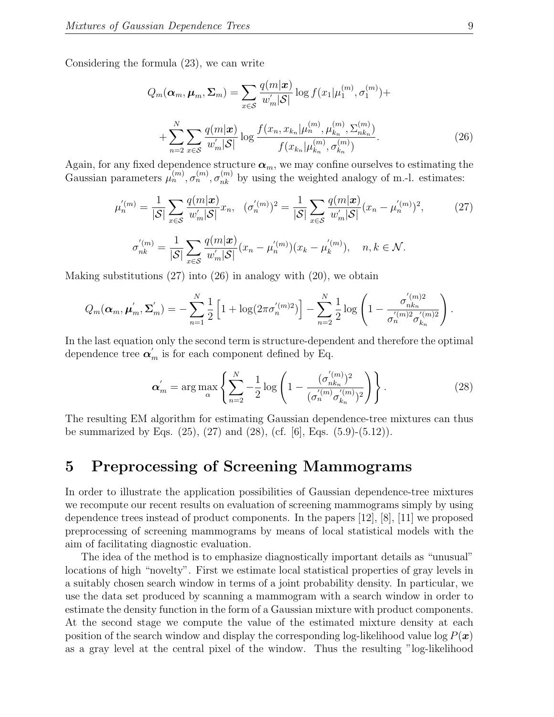Considering the formula (23), we can write

$$
Q_m(\alpha_m, \mu_m, \Sigma_m) = \sum_{x \in S} \frac{q(m|x)}{w'_m|\mathcal{S}|} \log f(x_1|\mu_1^{(m)}, \sigma_1^{(m)}) + + \sum_{n=2}^N \sum_{x \in S} \frac{q(m|x)}{w'_m|\mathcal{S}|} \log \frac{f(x_n, x_{k_n}|\mu_n^{(m)}, \mu_{k_n}^{(m)}, \Sigma_{nk_n}^{(m)})}{f(x_{k_n}|\mu_{k_n}^{(m)}, \sigma_{k_n}^{(m)})}.
$$
(26)

Again, for any fixed dependence structure  $\alpha_m$ , we may confine ourselves to estimating the Gaussian parameters  $\mu_n^{(m)}$ ,  $\sigma_n^{(m)}$ ,  $\sigma_{nk}^{(m)}$  by using the weighted analogy of m.-l. estimates:

$$
\mu_n^{'(m)} = \frac{1}{|\mathcal{S}|} \sum_{x \in \mathcal{S}} \frac{q(m|\mathbf{x})}{w_m'|\mathcal{S}|} x_n, \quad (\sigma_n^{'(m)})^2 = \frac{1}{|\mathcal{S}|} \sum_{x \in \mathcal{S}} \frac{q(m|\mathbf{x})}{w_m'|\mathcal{S}|} (x_n - \mu_n^{'(m)})^2,
$$
\n
$$
\sigma_{nk}^{'(m)} = \frac{1}{|\mathcal{S}|} \sum_{x \in \mathcal{S}} \frac{q(m|\mathbf{x})}{w_m'|\mathcal{S}|} (x_n - \mu_n^{'(m)}) (x_k - \mu_k^{'(m)}), \quad n, k \in \mathcal{N}.
$$
\n(27)

Making substitutions (27) into (26) in analogy with (20), we obtain

$$
Q_m(\boldsymbol{\alpha}_m, \boldsymbol{\mu}'_m, \boldsymbol{\Sigma}'_m) = -\sum_{n=1}^N \frac{1}{2} \left[ 1 + \log(2\pi \sigma'_n^{(m)2}) \right] - \sum_{n=2}^N \frac{1}{2} \log \left( 1 - \frac{\sigma'_{nk_n}}{\sigma'_n^{(m)2} \sigma'_{k_n}} \right)
$$

In the last equation only the second term is structure-dependent and therefore the optimal dependence tree  $\alpha'_m$  is for each component defined by Eq.

$$
\boldsymbol{\alpha}'_{m} = \arg \max_{\alpha} \left\{ \sum_{n=2}^{N} -\frac{1}{2} \log \left( 1 - \frac{(\sigma'_{nk_n})^2}{(\sigma'^{(m)}_{n} \sigma'^{(m)}_{k_n})^2} \right) \right\}.
$$
 (28)

The resulting EM algorithm for estimating Gaussian dependence-tree mixtures can thus be summarized by Eqs.  $(25)$ ,  $(27)$  and  $(28)$ ,  $(cf. [6]$ , Eqs.  $(5.9)$ - $(5.12)$ ).

### 5 Preprocessing of Screening Mammograms

In order to illustrate the application possibilities of Gaussian dependence-tree mixtures we recompute our recent results on evaluation of screening mammograms simply by using dependence trees instead of product components. In the papers [12], [8], [11] we proposed preprocessing of screening mammograms by means of local statistical models with the aim of facilitating diagnostic evaluation.

The idea of the method is to emphasize diagnostically important details as "unusual" locations of high "novelty". First we estimate local statistical properties of gray levels in a suitably chosen search window in terms of a joint probability density. In particular, we use the data set produced by scanning a mammogram with a search window in order to estimate the density function in the form of a Gaussian mixture with product components. At the second stage we compute the value of the estimated mixture density at each position of the search window and display the corresponding log-likelihood value log  $P(x)$ as a gray level at the central pixel of the window. Thus the resulting "log-likelihood

.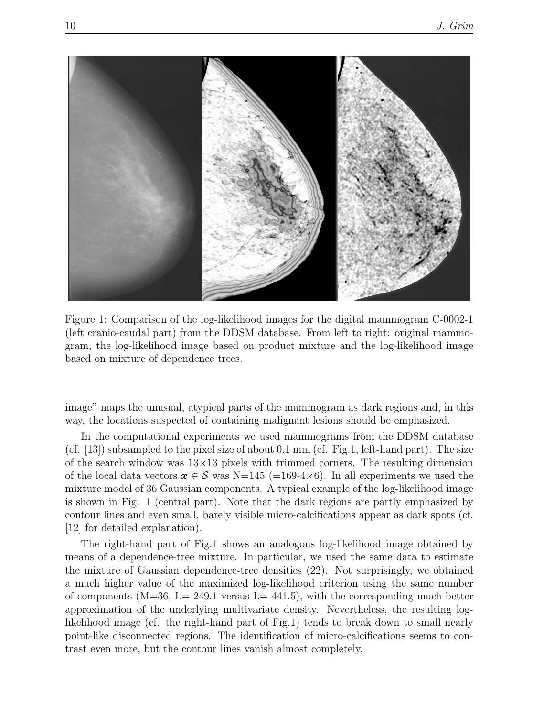

Figure 1: Comparison of the log-likelihood images for the digital mammogram C-0002-1 (left cranio-caudal part) from the DDSM database. From left to right: original mammogram, the log-likelihood image based on product mixture and the log-likelihood image based on mixture of dependence trees.

image" maps the unusual, atypical parts of the mammogram as dark regions and, in this way, the locations suspected of containing malignant lesions should be emphasized.

In the computational experiments we used mammograms from the DDSM database (cf. [13]) subsampled to the pixel size of about 0.1 mm (cf. Fig.1, left-hand part). The size of the search window was  $13\times13$  pixels with trimmed corners. The resulting dimension of the local data vectors  $x \in S$  was N=145 (=169-4×6). In all experiments we used the mixture model of 36 Gaussian components. A typical example of the log-likelihood image is shown in Fig. 1 (central part). Note that the dark regions are partly emphasized by contour lines and even small, barely visible micro-calcifications appear as dark spots (cf. [12] for detailed explanation).

The right-hand part of Fig.1 shows an analogous log-likelihood image obtained by means of a dependence-tree mixture. In particular, we used the same data to estimate the mixture of Gaussian dependence-tree densities (22). Not surprisingly, we obtained a much higher value of the maximized log-likelihood criterion using the same number of components  $(M=36, L=249.1$  versus  $L=-441.5$ , with the corresponding much better approximation of the underlying multivariate density. Nevertheless, the resulting loglikelihood image (cf. the right-hand part of Fig.1) tends to break down to small nearly point-like disconnected regions. The identification of micro-calcifications seems to contrast even more, but the contour lines vanish almost completely.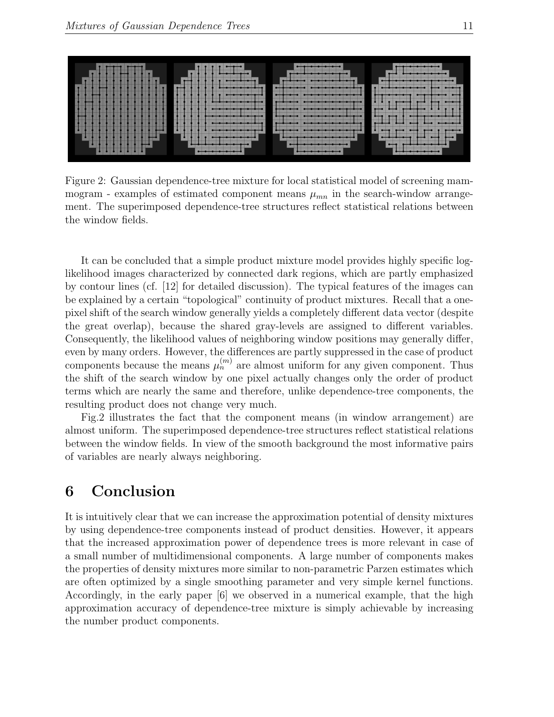

Figure 2: Gaussian dependence-tree mixture for local statistical model of screening mammogram - examples of estimated component means  $\mu_{mn}$  in the search-window arrangement. The superimposed dependence-tree structures reflect statistical relations between the window fields.

It can be concluded that a simple product mixture model provides highly specific loglikelihood images characterized by connected dark regions, which are partly emphasized by contour lines (cf. [12] for detailed discussion). The typical features of the images can be explained by a certain "topological" continuity of product mixtures. Recall that a onepixel shift of the search window generally yields a completely different data vector (despite the great overlap), because the shared gray-levels are assigned to different variables. Consequently, the likelihood values of neighboring window positions may generally differ, even by many orders. However, the differences are partly suppressed in the case of product components because the means  $\mu_n^{(m)}$  are almost uniform for any given component. Thus the shift of the search window by one pixel actually changes only the order of product terms which are nearly the same and therefore, unlike dependence-tree components, the resulting product does not change very much.

Fig.2 illustrates the fact that the component means (in window arrangement) are almost uniform. The superimposed dependence-tree structures reflect statistical relations between the window fields. In view of the smooth background the most informative pairs of variables are nearly always neighboring.

### 6 Conclusion

It is intuitively clear that we can increase the approximation potential of density mixtures by using dependence-tree components instead of product densities. However, it appears that the increased approximation power of dependence trees is more relevant in case of a small number of multidimensional components. A large number of components makes the properties of density mixtures more similar to non-parametric Parzen estimates which are often optimized by a single smoothing parameter and very simple kernel functions. Accordingly, in the early paper [6] we observed in a numerical example, that the high approximation accuracy of dependence-tree mixture is simply achievable by increasing the number product components.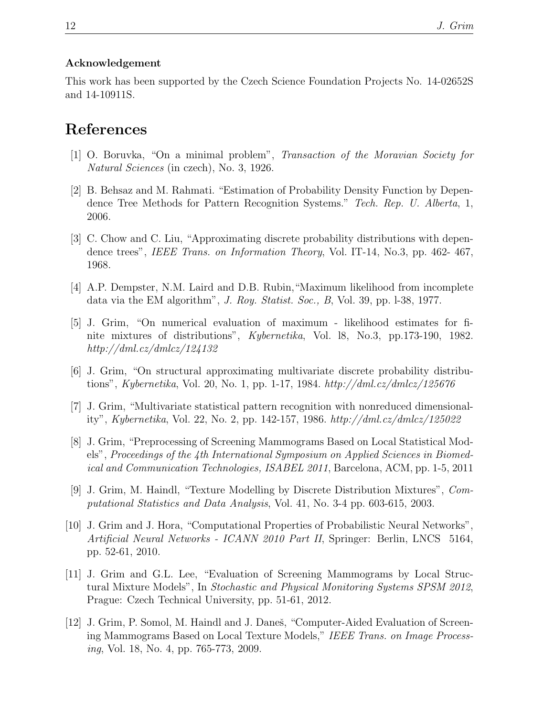#### Acknowledgement

This work has been supported by the Czech Science Foundation Projects No. 14-02652S and 14-10911S.

#### References

- [1] O. Boruvka, "On a minimal problem", *Transaction of the Moravian Society for Natural Sciences* (in czech), No. 3, 1926.
- [2] B. Behsaz and M. Rahmati. "Estimation of Probability Density Function by Dependence Tree Methods for Pattern Recognition Systems." *Tech. Rep. U. Alberta*, 1, 2006.
- [3] C. Chow and C. Liu, "Approximating discrete probability distributions with dependence trees", *IEEE Trans. on Information Theory*, Vol. IT-14, No.3, pp. 462- 467, 1968.
- [4] A.P. Dempster, N.M. Laird and D.B. Rubin,"Maximum likelihood from incomplete data via the EM algorithm", *J. Roy. Statist. Soc., B*, Vol. 39, pp. l-38, 1977.
- [5] J. Grim, "On numerical evaluation of maximum likelihood estimates for finite mixtures of distributions", *Kybernetika*, Vol. l8, No.3, pp.173-190, 1982. *http://dml.cz/dmlcz/124132*
- [6] J. Grim, "On structural approximating multivariate discrete probability distributions", *Kybernetika*, Vol. 20, No. 1, pp. 1-17, 1984. *http://dml.cz/dmlcz/125676*
- [7] J. Grim, "Multivariate statistical pattern recognition with nonreduced dimensionality", *Kybernetika*, Vol. 22, No. 2, pp. 142-157, 1986. *http://dml.cz/dmlcz/125022*
- [8] J. Grim, "Preprocessing of Screening Mammograms Based on Local Statistical Models", *Proceedings of the 4th International Symposium on Applied Sciences in Biomedical and Communication Technologies, ISABEL 2011*, Barcelona, ACM, pp. 1-5, 2011
- [9] J. Grim, M. Haindl, "Texture Modelling by Discrete Distribution Mixtures", *Computational Statistics and Data Analysis*, Vol. 41, No. 3-4 pp. 603-615, 2003.
- [10] J. Grim and J. Hora, "Computational Properties of Probabilistic Neural Networks", *Artificial Neural Networks - ICANN 2010 Part II*, Springer: Berlin, LNCS 5164, pp. 52-61, 2010.
- [11] J. Grim and G.L. Lee, "Evaluation of Screening Mammograms by Local Structural Mixture Models", In *Stochastic and Physical Monitoring Systems SPSM 2012*, Prague: Czech Technical University, pp. 51-61, 2012.
- [12] J. Grim, P. Somol, M. Haindl and J. Daneš, "Computer-Aided Evaluation of Screening Mammograms Based on Local Texture Models," *IEEE Trans. on Image Processing*, Vol. 18, No. 4, pp. 765-773, 2009.